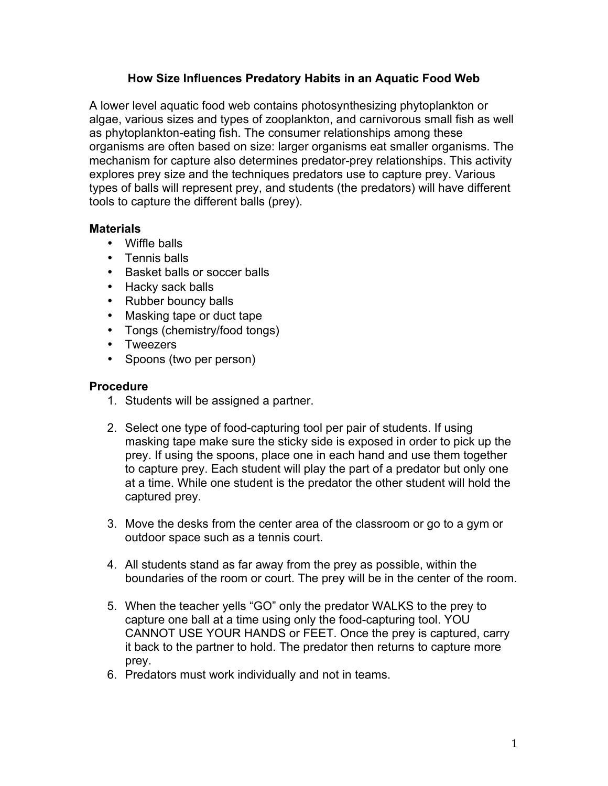# **How Size Influences Predatory Habits in an Aquatic Food Web**

A lower level aquatic food web contains photosynthesizing phytoplankton or algae, various sizes and types of zooplankton, and carnivorous small fish as well as phytoplankton-eating fish. The consumer relationships among these organisms are often based on size: larger organisms eat smaller organisms. The mechanism for capture also determines predator-prey relationships. This activity explores prey size and the techniques predators use to capture prey. Various types of balls will represent prey, and students (the predators) will have different tools to capture the different balls (prey).

## **Materials**

- Wiffle balls
- Tennis balls
- Basket balls or soccer balls
- Hacky sack balls
- Rubber bouncy balls
- Masking tape or duct tape
- Tongs (chemistry/food tongs)
- Tweezers
- Spoons (two per person)

## **Procedure**

- 1. Students will be assigned a partner.
- 2. Select one type of food-capturing tool per pair of students. If using masking tape make sure the sticky side is exposed in order to pick up the prey. If using the spoons, place one in each hand and use them together to capture prey. Each student will play the part of a predator but only one at a time. While one student is the predator the other student will hold the captured prey.
- 3. Move the desks from the center area of the classroom or go to a gym or outdoor space such as a tennis court.
- 4. All students stand as far away from the prey as possible, within the boundaries of the room or court. The prey will be in the center of the room.
- 5. When the teacher yells "GO" only the predator WALKS to the prey to capture one ball at a time using only the food-capturing tool. YOU CANNOT USE YOUR HANDS or FEET. Once the prey is captured, carry it back to the partner to hold. The predator then returns to capture more prey.
- 6. Predators must work individually and not in teams.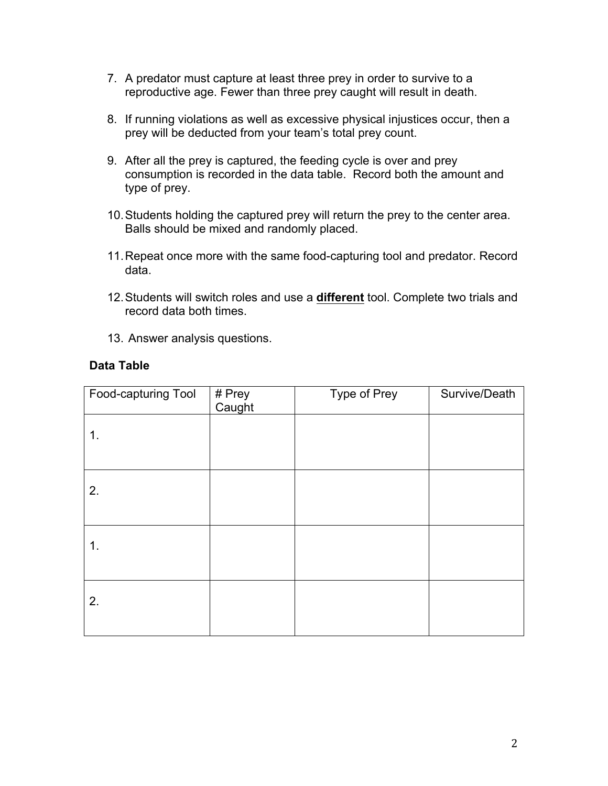- 7. A predator must capture at least three prey in order to survive to a reproductive age. Fewer than three prey caught will result in death.
- 8. If running violations as well as excessive physical injustices occur, then a prey will be deducted from your team's total prey count.
- 9. After all the prey is captured, the feeding cycle is over and prey consumption is recorded in the data table. Record both the amount and type of prey.
- 10.Students holding the captured prey will return the prey to the center area. Balls should be mixed and randomly placed.
- 11.Repeat once more with the same food-capturing tool and predator. Record data.
- 12.Students will switch roles and use a **different** tool. Complete two trials and record data both times.
- 13. Answer analysis questions.

## **Data Table**

| Food-capturing Tool | # Prey<br>Caught | Type of Prey | Survive/Death |
|---------------------|------------------|--------------|---------------|
| $\mathbf 1$ .       |                  |              |               |
| 2.                  |                  |              |               |
| 1.                  |                  |              |               |
| 2.                  |                  |              |               |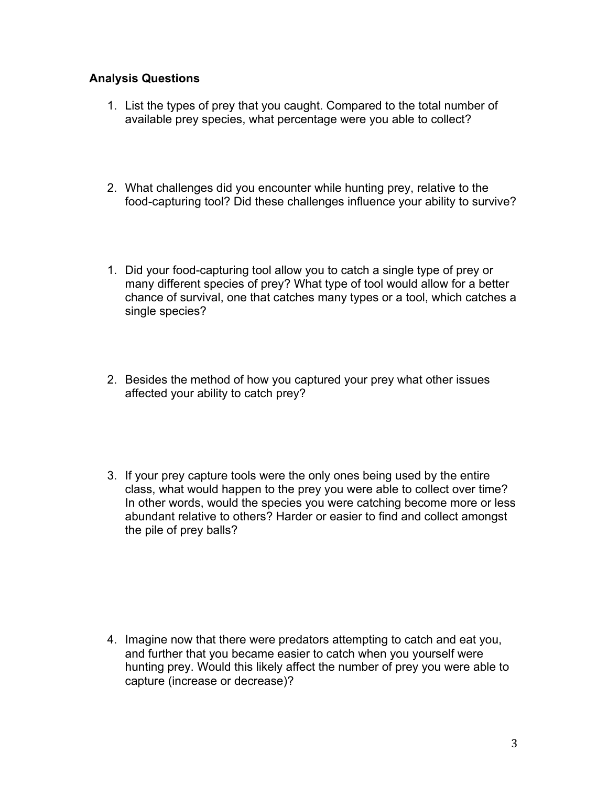# **Analysis Questions**

- 1. List the types of prey that you caught. Compared to the total number of available prey species, what percentage were you able to collect?
- 2. What challenges did you encounter while hunting prey, relative to the food-capturing tool? Did these challenges influence your ability to survive?
- 1. Did your food-capturing tool allow you to catch a single type of prey or many different species of prey? What type of tool would allow for a better chance of survival, one that catches many types or a tool, which catches a single species?
- 2. Besides the method of how you captured your prey what other issues affected your ability to catch prey?
- 3. If your prey capture tools were the only ones being used by the entire class, what would happen to the prey you were able to collect over time? In other words, would the species you were catching become more or less abundant relative to others? Harder or easier to find and collect amongst the pile of prey balls?

4. Imagine now that there were predators attempting to catch and eat you, and further that you became easier to catch when you yourself were hunting prey. Would this likely affect the number of prey you were able to capture (increase or decrease)?